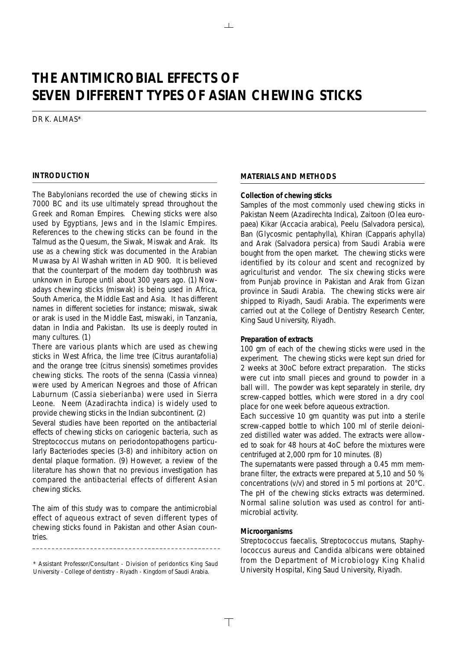## **THE ANTIMICROBIAL EFFECTS OF SEVEN DIFFERENT TYPES OF ASIAN CHEWING STICKS**

 $\mathbb{R}$ 

DR K. ALMAS\*

## **INTRODUCTION**

The Babylonians recorded the use of chewing sticks in 7000 BC and its use ultimately spread throughout the Greek and Roman Empires. Chewing sticks were also used by Egyptians, Jews and in the Islamic Empires. References to the chewing sticks can be found in the Talmud as the Quesum, the Siwak, Miswak and Arak. Its use as a chewing stick was documented in the Arabian Muwasa by Al Washah written in AD 900. It is believed that the counterpart of the modern day toothbrush was unknown in Europe until about 300 years ago. (1) Nowadays chewing sticks (miswak) is being used in Africa, South America, the Middle East and Asia. It has different names in different societies for instance; miswak, siwak or arak is used in the Middle East, miswaki, in Tanzania, datan in India and Pakistan. Its use is deeply routed in many cultures. (1)

There are various plants which are used as chewing sticks in West Africa, the lime tree (Citrus aurantafolia) and the orange tree (citrus sinensis) sometimes provides chewing sticks. The roots of the senna (Cassia vinnea) were used by American Negroes and those of African Laburnum (Cassia sieberianba) were used in Sierra Leone. Neem (Azadirachta indica) is widely used to provide chewing sticks in the Indian subcontinent. (2)

Several studies have been reported on the antibacterial effects of chewing sticks on cariogenic bacteria, such as Streptococcus mutans on periodontopathogens particularly Bacteriodes species (3-8) and inhibitory action on dental plaque formation. (9) However, a review of the literature has shown that no previous investigation has compared the antibacterial effects of different Asian chewing sticks.

The aim of this study was to compare the antimicrobial effect of aqueous extract of seven different types of chewing sticks found in Pakistan and other Asian countries.

## **MATERIALS AND METHODS**

#### **Collection of chewing sticks**

Samples of the most commonly used chewing sticks in Pakistan Neem (Azadirechta Indica), Zaitoon (Olea europaea) Kikar (Accacia arabica), Peelu (Salvadora persica), Ban (Glycosmic pentaphylla), Khiran (Capparis aphylla) and Arak (Salvadora persica) from Saudi Arabia were bought from the open market. The chewing sticks were identified by its colour and scent and recognized by agriculturist and vendor. The six chewing sticks were from Punjab province in Pakistan and Arak from Gizan province in Saudi Arabia. The chewing sticks were air shipped to Riyadh, Saudi Arabia. The experiments were carried out at the College of Dentistry Research Center, King Saud University, Riyadh.

#### **Preparation of extracts**

100 gm of each of the chewing sticks were used in the experiment. The chewing sticks were kept sun dried for 2 weeks at 30oC before extract preparation. The sticks were cut into small pieces and ground to powder in a ball will. The powder was kept separately in sterile, dry screw-capped bottles, which were stored in a dry cool place for one week before aqueous extraction.

Each successive 10 gm quantity was put into a sterile screw-capped bottle to which 100 ml of sterile deionized distilled water was added. The extracts were allowed to soak for 48 hours at 4oC before the mixtures were centrifuged at 2,000 rpm for 10 minutes. (8)

The supernatants were passed through a 0.45 mm membrane filter, the extracts were prepared at 5,10 and 50 % concentrations (v/v) and stored in 5 ml portions at 20°C. The pH of the chewing sticks extracts was determined. Normal saline solution was used as control for antimicrobial activity.

#### **Microorganisms**

 $\top$ 

Streptococcus faecalis, Streptococcus mutans, Staphylococcus aureus and Candida albicans were obtained from the Department of Microbiology King Khalid University Hospital, King Saud University, Riyadh.

<sup>\*</sup> Assistant Professor/Consultant - Division of peridontics King Saud University - College of dentistry - Riyadh - Kingdom of Saudi Arabia.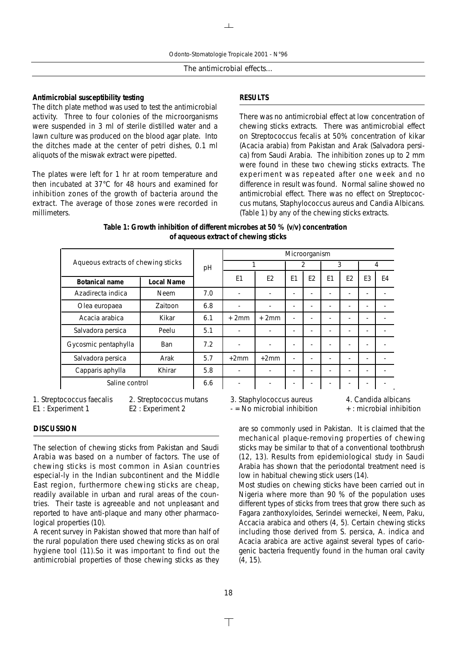**Antimicrobial susceptibility testing** The ditch plate method was used to test the antimicrobial activity. Three to four colonies of the microorganisms were suspended in 3 ml of sterile distilled water and a lawn culture was produced on the blood agar plate. Into the ditches made at the center of petri dishes, 0.1 ml aliquots of the miswak extract were pipetted.

The plates were left for 1 hr at room temperature and then incubated at 37°C for 48 hours and examined for inhibition zones of the growth of bacteria around the extract. The average of those zones were recorded in millimeters.

## **RESULTS**

There was no antimicrobial effect at low concentration of chewing sticks extracts. There was antimicrobial effect on Streptococcus fecalis at 50% concentration of kikar (Acacia arabia) from Pakistan and Arak (Salvadora persica) from Saudi Arabia. The inhibition zones up to 2 mm were found in these two chewing sticks extracts. The experiment was repeated after one week and no difference in result was found. Normal saline showed no antimicrobial effect. There was no effect on Streptococcus mutans, Staphylococcus aureus and Candia Albicans. (Table 1) by any of the chewing sticks extracts.

| Table 1: Growth inhibition of different microbes at 50 % (v/v) concentration |
|------------------------------------------------------------------------------|
| of aqueous extract of chewing sticks                                         |

| Aqueous extracts of chewing sticks |             |     | Microorganism  |                |                |                |                |                |    |    |
|------------------------------------|-------------|-----|----------------|----------------|----------------|----------------|----------------|----------------|----|----|
|                                    |             | pH  |                |                | 2              |                | 3              |                | 4  |    |
| Botanical name                     | Local Name  |     | E <sub>1</sub> | E <sub>2</sub> | E <sub>1</sub> | E <sub>2</sub> | E <sub>1</sub> | E <sub>2</sub> | E3 | E4 |
| Azadirecta indica                  | <b>Neem</b> | 7.0 |                |                |                |                |                | ۰              | -  |    |
| Olea europaea                      | Zaitoon     | 6.8 |                |                |                |                |                |                |    |    |
| Acacia arabica                     | Kikar       | 6.1 | $+2mm$         | $+2mm$         |                |                |                |                |    |    |
| Salvadora persica                  | Peelu       | 5.1 |                |                |                |                |                |                |    |    |
| Gycosmic pentaphylla               | <b>Ban</b>  | 7.2 |                |                |                |                |                |                |    |    |
| Salvadora persica                  | Arak        | 5.7 | $+2mm$         | $+2mm$         | ٠              |                |                | ٠              | -  |    |
| Capparis aphylla                   | Khirar      | 5.8 |                |                |                |                |                | ٠              | -  |    |
| Saline control                     |             | 6.6 |                |                |                |                |                |                |    |    |

1. Streptococcus faecalis 2. Streptococcus mutans 3. Staphylococcus aureus 4. Candida albicans

#### **DISCUSSION**

The selection of chewing sticks from Pakistan and Saudi Arabia was based on a number of factors. The use of chewing sticks is most common in Asian countries especial-ly in the Indian subcontinent and the Middle East region, furthermore chewing sticks are cheap, readily available in urban and rural areas of the countries. Their taste is agreeable and not unpleasant and reported to have anti-plaque and many other pharmacological properties (10).

A recent survey in Pakistan showed that more than half of the rural population there used chewing sticks as on oral hygiene tool (11).So it was important to find out the antimicrobial properties of those chewing sticks as they

are so commonly used in Pakistan. It is claimed that the mechanical plaque-removing properties of chewing sticks may be similar to that of a conventional toothbrush (12, 13). Results from epidemiological study in Saudi Arabia has shown that the periodontal treatment need is

low in habitual chewing stick users (14). Most studies on chewing sticks have been carried out in Nigeria where more than 90 % of the population uses different types of sticks from trees that grow there such as Fagara zanthoxyloides, Serindei werneckei, Neem, Paku, Accacia arabica and others (4, 5). Certain chewing sticks including those derived from S. persica, A. indica and Acacia arabica are active against several types of cariogenic bacteria frequently found in the human oral cavity (4, 15).

E1 : Experiment 1 E2 : Experiment 2 - No microbial inhibition + : microbial inhibition

 $\top$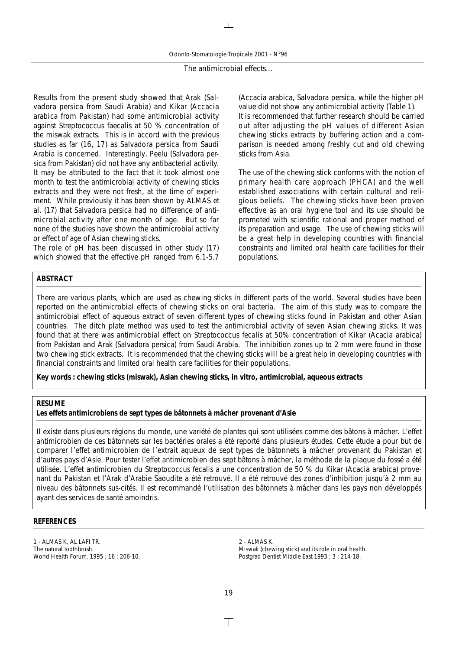Odonto-Stomatologie Tropicale 2001 - N°96

 $\mathbf{L}$ 

The antimicrobial effects…

Results from the present study showed that Arak (Salvadora persica from Saudi Arabia) and Kikar (Accacia arabica from Pakistan) had some antimicrobial activity against Streptococcus faecalis at 50 % concentration of the miswak extracts. This is in accord with the previous studies as far (16, 17) as Salvadora persica from Saudi Arabia is concerned. Interestingly, Peelu (Salvadora persica from Pakistan) did not have any antibacterial activity. It may be attributed to the fact that it took almost one month to test the antimicrobial activity of chewing sticks extracts and they were not fresh, at the time of experiment. While previously it has been shown by ALMAS et al. (17) that Salvadora persica had no difference of antimicrobial activity after one month of age. But so far none of the studies have shown the antimicrobial activity or effect of age of Asian chewing sticks.

The role of pH has been discussed in other study (17) which showed that the effective pH ranged from 6.1-5.7 (Accacia arabica, Salvadora persica, while the higher pH value did not show any antimicrobial activity (Table 1). It is recommended that further research should be carried out after adjusting the pH values of different Asian chewing sticks extracts by buffering action and a comparison is needed among freshly cut and old chewing sticks from Asia.

The use of the chewing stick conforms with the notion of primary health care approach (PHCA) and the well established associations with certain cultural and religious beliefs. The chewing sticks have been proven effective as an oral hygiene tool and its use should be promoted with scientific rational and proper method of its preparation and usage. The use of chewing sticks will be a great help in developing countries with financial constraints and limited oral health care facilities for their populations.

#### **ABSTRACT**

There are various plants, which are used as chewing sticks in different parts of the world. Several studies have been reported on the antimicrobial effects of chewing sticks on oral bacteria. The aim of this study was to compare the antimicrobial effect of aqueous extract of seven different types of chewing sticks found in Pakistan and other Asian countries. The ditch plate method was used to test the antimicrobial activity of seven Asian chewing sticks. It was found that at there was antimicrobial effect on Streptococcus fecalis at 50% concentration of Kikar (Acacia arabica) from Pakistan and Arak (Salvadora persica) from Saudi Arabia. The inhibition zones up to 2 mm were found in those two chewing stick extracts. It is recommended that the chewing sticks will be a great help in developing countries with financial constraints and limited oral health care facilities for their populations.

*Key words : chewing sticks (miswak), Asian chewing sticks, in vitro, antimicrobial, aqueous extracts*

## **RESUME**

## *Les effets antimicrobiens de sept types de bâtonnets à mâcher provenant d'Asie*

Il existe dans plusieurs régions du monde, une variété de plantes qui sont utilisées comme des bâtons à mâcher. L'effet antimicrobien de ces bâtonnets sur les bactéries orales a été reporté dans plusieurs études. Cette étude a pour but de comparer l'effet antimicrobien de l'extrait aqueux de sept types de bâtonnets à mâcher provenant du Pakistan et d'autres pays d'Asie. Pour tester l'effet antimicrobien des sept bâtons à mâcher, la méthode de la plaque du fossé a été utilisée. L'effet antimicrobien du Streptococcus fecalis a une concentration de 50 % du Kikar (Acacia arabica) provenant du Pakistan et l'Arak d'Arabie Saoudite a été retrouvé. Il a été retrouvé des zones d'inhibition jusqu'à 2 mm au niveau des bâtonnets sus-cités. Il est recommandé l'utilisation des bâtonnets à mâcher dans les pays non développés ayant des services de santé amoindris.

#### **REFERENCES**

1 - ALMAS K, AL LAFI TR. The natural toothbrush. World Health Forum. 1995 ; 16 : 206-10. 2 - ALMAS K. Miswak (chewing stick) and its role in oral health. Postgrad Dentist Middle East 1993 ; 3 : 214-18.

 $\top$